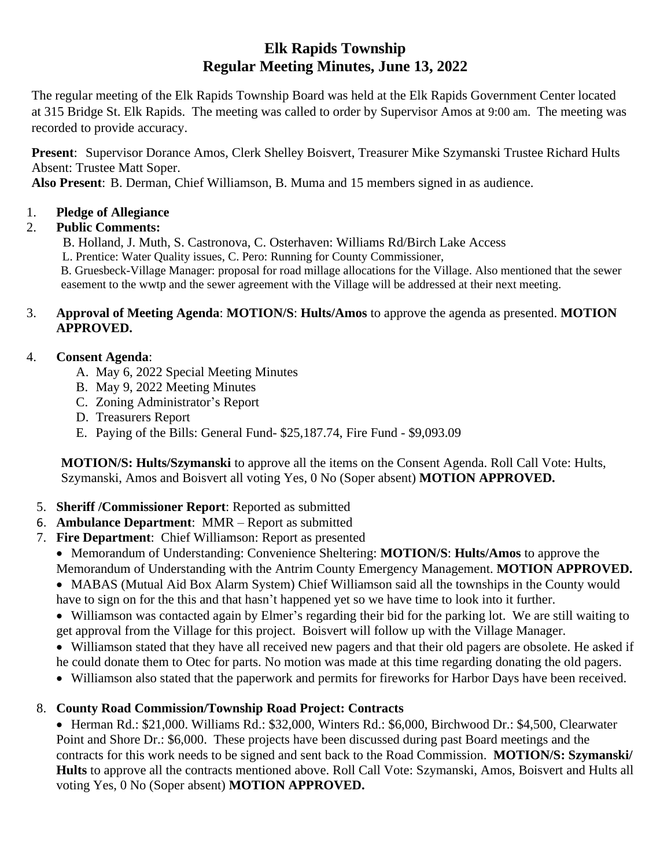# **Elk Rapids Township Regular Meeting Minutes, June 13, 2022**

The regular meeting of the Elk Rapids Township Board was held at the Elk Rapids Government Center located at 315 Bridge St. Elk Rapids. The meeting was called to order by Supervisor Amos at 9:00 am. The meeting was recorded to provide accuracy.

**Present**: Supervisor Dorance Amos, Clerk Shelley Boisvert, Treasurer Mike Szymanski Trustee Richard Hults Absent: Trustee Matt Soper.

**Also Present**: B. Derman, Chief Williamson, B. Muma and 15 members signed in as audience.

# 1. **Pledge of Allegiance**

# 2. **Public Comments:**

B. Holland, J. Muth, S. Castronova, C. Osterhaven: Williams Rd/Birch Lake Access

L. Prentice: Water Quality issues, C. Pero: Running for County Commissioner,

 B. Gruesbeck-Village Manager: proposal for road millage allocations for the Village. Also mentioned that the sewer easement to the wwtp and the sewer agreement with the Village will be addressed at their next meeting.

#### 3. **Approval of Meeting Agenda**: **MOTION/S**: **Hults/Amos** to approve the agenda as presented. **MOTION APPROVED.**

### 4. **Consent Agenda**:

- A. May 6, 2022 Special Meeting Minutes
- B. May 9, 2022 Meeting Minutes
- C. Zoning Administrator's Report
- D. Treasurers Report
- E. Paying of the Bills: General Fund- \$25,187.74, Fire Fund \$9,093.09

**MOTION/S: Hults/Szymanski** to approve all the items on the Consent Agenda. Roll Call Vote: Hults, Szymanski, Amos and Boisvert all voting Yes, 0 No (Soper absent) **MOTION APPROVED.**

- 5. **Sheriff /Commissioner Report**: Reported as submitted
- 6. **Ambulance Department**: MMR Report as submitted
- 7. **Fire Department**: Chief Williamson: Report as presented
	- Memorandum of Understanding: Convenience Sheltering: **MOTION/S**: **Hults/Amos** to approve the Memorandum of Understanding with the Antrim County Emergency Management. **MOTION APPROVED.**

• MABAS (Mutual Aid Box Alarm System) Chief Williamson said all the townships in the County would have to sign on for the this and that hasn't happened yet so we have time to look into it further.

• Williamson was contacted again by Elmer's regarding their bid for the parking lot. We are still waiting to get approval from the Village for this project. Boisvert will follow up with the Village Manager.

• Williamson stated that they have all received new pagers and that their old pagers are obsolete. He asked if he could donate them to Otec for parts. No motion was made at this time regarding donating the old pagers.

• Williamson also stated that the paperwork and permits for fireworks for Harbor Days have been received.

# 8. **County Road Commission/Township Road Project: Contracts**

• Herman Rd.: \$21,000. Williams Rd.: \$32,000, Winters Rd.: \$6,000, Birchwood Dr.: \$4,500, Clearwater Point and Shore Dr.: \$6,000. These projects have been discussed during past Board meetings and the contracts for this work needs to be signed and sent back to the Road Commission. **MOTION/S: Szymanski/ Hults** to approve all the contracts mentioned above. Roll Call Vote: Szymanski, Amos, Boisvert and Hults all voting Yes, 0 No (Soper absent) **MOTION APPROVED.**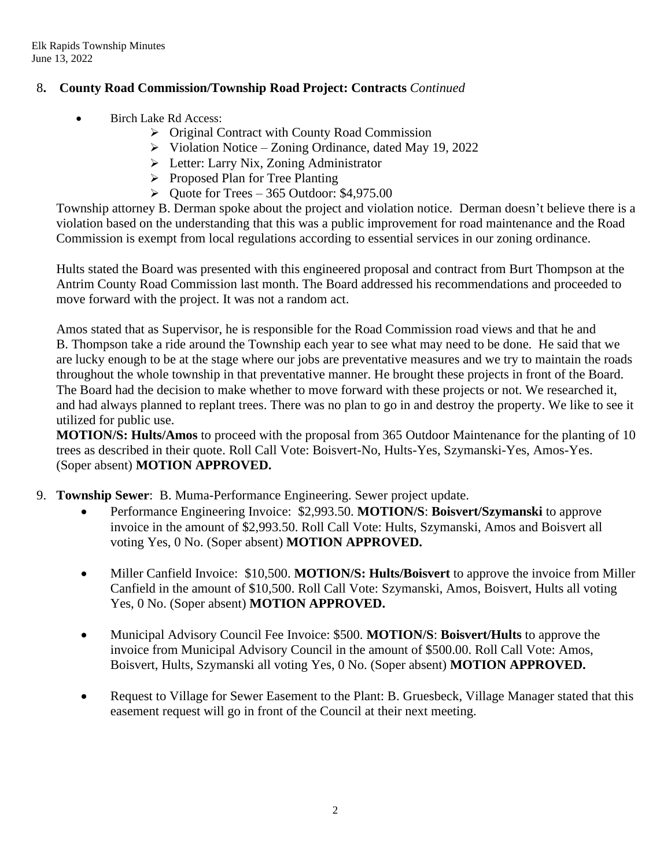### 8**. County Road Commission/Township Road Project: Contracts** *Continued*

- Birch Lake Rd Access:
	- ➢ Original Contract with County Road Commission
	- ➢ Violation Notice Zoning Ordinance, dated May 19, 2022
	- ➢ Letter: Larry Nix, Zoning Administrator
	- ➢ Proposed Plan for Tree Planting
	- $\blacktriangleright$  Quote for Trees 365 Outdoor: \$4,975.00

Township attorney B. Derman spoke about the project and violation notice. Derman doesn't believe there is a violation based on the understanding that this was a public improvement for road maintenance and the Road Commission is exempt from local regulations according to essential services in our zoning ordinance.

Hults stated the Board was presented with this engineered proposal and contract from Burt Thompson at the Antrim County Road Commission last month. The Board addressed his recommendations and proceeded to move forward with the project. It was not a random act.

Amos stated that as Supervisor, he is responsible for the Road Commission road views and that he and B. Thompson take a ride around the Township each year to see what may need to be done. He said that we are lucky enough to be at the stage where our jobs are preventative measures and we try to maintain the roads throughout the whole township in that preventative manner. He brought these projects in front of the Board. The Board had the decision to make whether to move forward with these projects or not. We researched it, and had always planned to replant trees. There was no plan to go in and destroy the property. We like to see it utilized for public use.

**MOTION/S: Hults/Amos** to proceed with the proposal from 365 Outdoor Maintenance for the planting of 10 trees as described in their quote. Roll Call Vote: Boisvert-No, Hults-Yes, Szymanski-Yes, Amos-Yes. (Soper absent) **MOTION APPROVED.**

- 9. **Township Sewer**: B. Muma-Performance Engineering. Sewer project update.
	- Performance Engineering Invoice: \$2,993.50. **MOTION/S**: **Boisvert/Szymanski** to approve invoice in the amount of \$2,993.50. Roll Call Vote: Hults, Szymanski, Amos and Boisvert all voting Yes, 0 No. (Soper absent) **MOTION APPROVED.**
	- Miller Canfield Invoice: \$10,500. **MOTION/S: Hults/Boisvert** to approve the invoice from Miller Canfield in the amount of \$10,500. Roll Call Vote: Szymanski, Amos, Boisvert, Hults all voting Yes, 0 No. (Soper absent) **MOTION APPROVED.**
	- Municipal Advisory Council Fee Invoice: \$500. **MOTION/S**: **Boisvert/Hults** to approve the invoice from Municipal Advisory Council in the amount of \$500.00. Roll Call Vote: Amos, Boisvert, Hults, Szymanski all voting Yes, 0 No. (Soper absent) **MOTION APPROVED.**
	- Request to Village for Sewer Easement to the Plant: B. Gruesbeck, Village Manager stated that this easement request will go in front of the Council at their next meeting.